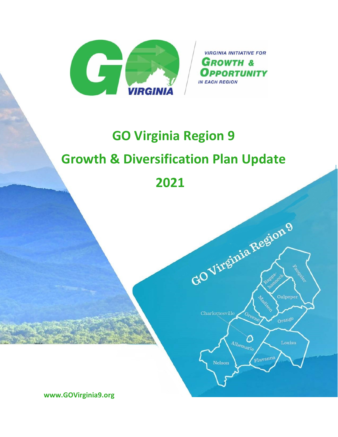

**VIRGINIA INITIATIVE FOR GROWTH & OPPORTUNITY IN EACH REGION** 

GOVirginia Region 9

Green

 $\mathcal O$  $\frac{d_{lb_{en_{arl_{e}}}}}{dt}$ 

Fluvanna

Charlottesville

Nelson

tion (

Culpeper

# **GO Virginia Region 9 Growth & Diversification Plan Update 2021**

**www.GOVirginia9.org**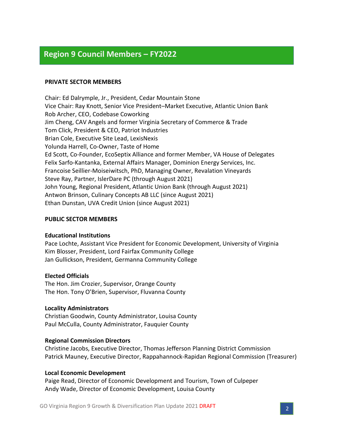# **Region 9 Council Members – FY2022**

#### **PRIVATE SECTOR MEMBERS**

Chair: Ed Dalrymple, Jr., President, Cedar Mountain Stone Vice Chair: Ray Knott, Senior Vice President–Market Executive, Atlantic Union Bank Rob Archer, CEO, Codebase Coworking Jim Cheng, CAV Angels and former Virginia Secretary of Commerce & Trade Tom Click, President & CEO, Patriot Industries Brian Cole, Executive Site Lead, LexisNexis Yolunda Harrell, Co-Owner, Taste of Home Ed Scott, Co-Founder, EcoSeptix Alliance and former Member, VA House of Delegates Felix Sarfo-Kantanka, External Affairs Manager, Dominion Energy Services, Inc. Francoise Seillier-Moiseiwitsch, PhD, Managing Owner, Revalation Vineyards Steve Ray, Partner, IslerDare PC (through August 2021) John Young, Regional President, Atlantic Union Bank (through August 2021) Antwon Brinson, Culinary Concepts AB LLC (since August 2021) Ethan Dunstan, UVA Credit Union (since August 2021)

#### **PUBLIC SECTOR MEMBERS**

#### **Educational Institutions**

Pace Lochte, Assistant Vice President for Economic Development, University of Virginia Kim Blosser, President, Lord Fairfax Community College Jan Gullickson, President, Germanna Community College

#### **Elected Officials**

The Hon. Jim Crozier, Supervisor, Orange County The Hon. Tony O'Brien, Supervisor, Fluvanna County

#### **Locality Administrators**

Christian Goodwin, County Administrator, Louisa County Paul McCulla, County Administrator, Fauquier County

#### **Regional Commission Directors**

Christine Jacobs, Executive Director, Thomas Jefferson Planning District Commission Patrick Mauney, Executive Director, Rappahannock-Rapidan Regional Commission (Treasurer)

#### **Local Economic Development**

Paige Read, Director of Economic Development and Tourism, Town of Culpeper Andy Wade, Director of Economic Development, Louisa County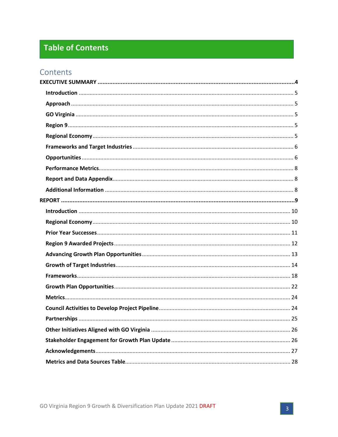# **Table of Contents**

# Contents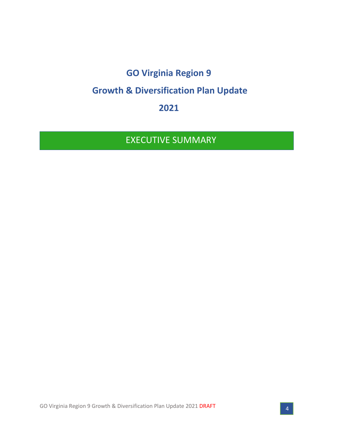# **GO Virginia Region 9 Growth & Diversification Plan Update**

**2021**

EXECUTIVE SUMMARY

GO Virginia Region 9 Growth & Diversification Plan Update 2021 DRAFT 4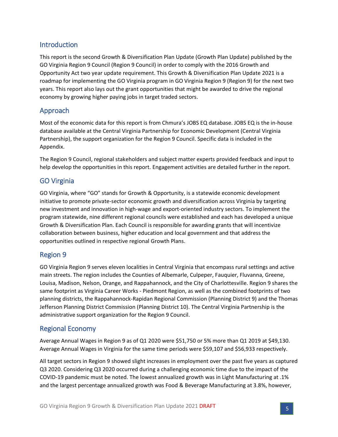# <span id="page-4-0"></span>Introduction

This report is the second Growth & Diversification Plan Update (Growth Plan Update) published by the GO Virginia Region 9 Council (Region 9 Council) in order to comply with the 2016 Growth and Opportunity Act two year update requirement. This Growth & Diversification Plan Update 2021 is a roadmap for implementing the GO Virginia program in GO Virginia Region 9 (Region 9) for the next two years. This report also lays out the grant opportunities that might be awarded to drive the regional economy by growing higher paying jobs in target traded sectors.

# <span id="page-4-1"></span>Approach

Most of the economic data for this report is from Chmura's JOBS EQ database. JOBS EQ is the in-house database available at the Central Virginia Partnership for Economic Development (Central Virginia Partnership), the support organization for the Region 9 Council. Specific data is included in the Appendix.

The Region 9 Council, regional stakeholders and subject matter experts provided feedback and input to help develop the opportunities in this report. Engagement activities are detailed further in the report.

### <span id="page-4-2"></span>GO Virginia

GO Virginia, where "GO" stands for Growth & Opportunity, is a statewide economic development initiative to promote private-sector economic growth and diversification across Virginia by targeting new investment and innovation in high-wage and export-oriented industry sectors. To implement the program statewide, nine different regional councils were established and each has developed a unique Growth & Diversification Plan. Each Council is responsible for awarding grants that will incentivize collaboration between business, higher education and local government and that address the opportunities outlined in respective regional Growth Plans.

# <span id="page-4-3"></span>Region 9

GO Virginia Region 9 serves eleven localities in Central Virginia that encompass rural settings and active main streets. The region includes the Counties of Albemarle, Culpeper, Fauquier, Fluvanna, Greene, Louisa, Madison, Nelson, Orange, and Rappahannock, and the City of Charlottesville. Region 9 shares the same footprint as Virginia Career Works - Piedmont Region, as well as the combined footprints of two planning districts, the Rappahannock-Rapidan Regional Commission (Planning District 9) and the Thomas Jefferson Planning District Commission (Planning District 10). The Central Virginia Partnership is the administrative support organization for the Region 9 Council.

# <span id="page-4-4"></span>Regional Economy

Average Annual Wages in Region 9 as of Q1 2020 were \$51,750 or 5% more than Q1 2019 at \$49,130. Average Annual Wages in Virginia for the same time periods were \$59,107 and \$56,933 respectively.

All target sectors in Region 9 showed slight increases in employment over the past five years as captured Q3 2020. Considering Q3 2020 occurred during a challenging economic time due to the impact of the COVID-19 pandemic must be noted. The lowest annualized growth was in Light Manufacturing at .1% and the largest percentage annualized growth was Food & Beverage Manufacturing at 3.8%, however,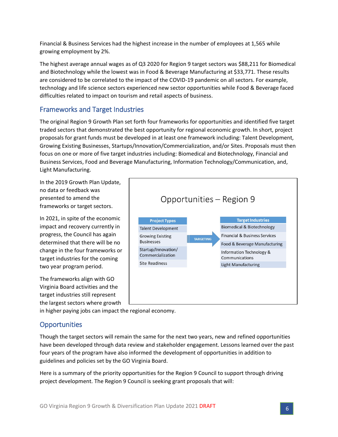Financial & Business Services had the highest increase in the number of employees at 1,565 while growing employment by 2%.

The highest average annual wages as of Q3 2020 for Region 9 target sectors was \$88,211 for Biomedical and Biotechnology while the lowest was in Food & Beverage Manufacturing at \$33,771. These results are considered to be correlated to the impact of the COVID-19 pandemic on all sectors. For example, technology and life science sectors experienced new sector opportunities while Food & Beverage faced difficulties related to impact on tourism and retail aspects of business.

# <span id="page-5-0"></span>Frameworks and Target Industries

The original Region 9 Growth Plan set forth four frameworks for opportunities and identified five target traded sectors that demonstrated the best opportunity for regional economic growth. In short, project proposals for grant funds must be developed in at least one framework including: Talent Development, Growing Existing Businesses, Startups/Innovation/Commercialization, and/or Sites. Proposals must then focus on one or more of five target industries including: Biomedical and Biotechnology, Financial and Business Services, Food and Beverage Manufacturing, Information Technology/Communication, and, Light Manufacturing.

In the 2019 Growth Plan Update, no data or feedback was presented to amend the frameworks or target sectors.

In 2021, in spite of the economic impact and recovery currently in progress, the Council has again determined that there will be no change in the four frameworks or target industries for the coming two year program period.

The frameworks align with GO Virginia Board activities and the target industries still represent the largest sectors where growth



in higher paying jobs can impact the regional economy.

# <span id="page-5-1"></span>**Opportunities**

Though the target sectors will remain the same for the next two years, new and refined opportunities have been developed through data review and stakeholder engagement. Lessons learned over the past four years of the program have also informed the development of opportunities in addition to guidelines and policies set by the GO Virginia Board.

Here is a summary of the priority opportunities for the Region 9 Council to support through driving project development. The Region 9 Council is seeking grant proposals that will: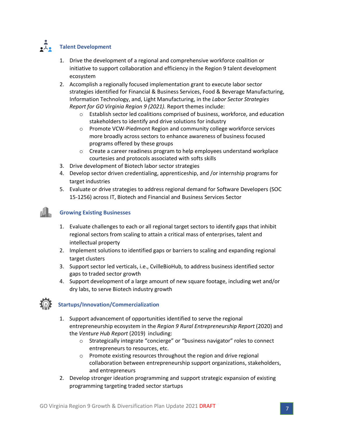# **• J.** Talent Development

- 1. Drive the development of a regional and comprehensive workforce coalition or initiative to support collaboration and efficiency in the Region 9 talent development ecosystem
- 2. Accomplish a regionally focused implementation grant to execute labor sector strategies identified for Financial & Business Services, Food & Beverage Manufacturing, Information Technology, and, Light Manufacturing, in the *Labor Sector Strategies Report for GO Virginia Region 9 (2021).* Report themes include:
	- $\circ$  Establish sector led coalitions comprised of business, workforce, and education stakeholders to identify and drive solutions for industry
	- $\circ$  Promote VCW-Piedmont Region and community college workforce services more broadly across sectors to enhance awareness of business focused programs offered by these groups
	- $\circ$  Create a career readiness program to help employees understand workplace courtesies and protocols associated with softs skills
- 3. Drive development of Biotech labor sector strategies
- 4. Develop sector driven credentialing, apprenticeship, and /or internship programs for target industries
- 5. Evaluate or drive strategies to address regional demand for Software Developers (SOC 15-1256) across IT, Biotech and Financial and Business Services Sector

### **Growing Existing Businesses**

- 1. Evaluate challenges to each or all regional target sectors to identify gaps that inhibit regional sectors from scaling to attain a critical mass of enterprises, talent and intellectual property
- 2. Implement solutions to identified gaps or barriers to scaling and expanding regional target clusters
- 3. Support sector led verticals, i.e., CvilleBioHub, to address business identified sector gaps to traded sector growth
- 4. Support development of a large amount of new square footage, including wet and/or dry labs, to serve Biotech industry growth

### **Startups/Innovation/Commercialization**

- 1. Support advancement of opportunities identified to serve the regional entrepreneurship ecosystem in the *Region 9 Rural Entrepreneurship Report* (2020) and the *Venture Hub Report* (2019) including:
	- o Strategically integrate "concierge" or "business navigator" roles to connect entrepreneurs to resources, etc.
	- o Promote existing resources throughout the region and drive regional collaboration between entrepreneurship support organizations, stakeholders, and entrepreneurs
- 2. Develop stronger ideation programming and support strategic expansion of existing programming targeting traded sector startups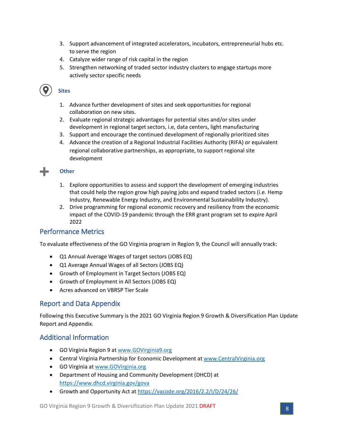- 3. Support advancement of integrated accelerators, incubators, entrepreneurial hubs etc. to serve the region
- 4. Catalyze wider range of risk capital in the region
- 5. Strengthen networking of traded sector industry clusters to engage startups more actively sector specific needs

 **Sites**

- 1. Advance further development of sites and seek opportunities for regional collaboration on new sites.
- 2. Evaluate regional strategic advantages for potential sites and/or sites under development in regional target sectors, i.e, data centers, light manufacturing
- 3. Support and encourage the continued development of regionally prioritized sites
- 4. Advance the creation of a Regional Industrial Facilities Authority (RIFA) or equivalent regional collaborative partnerships, as appropriate, to support regional site development

### **Other**

- 1. Explore opportunities to assess and support the development of emerging industries that could help the region grow high paying jobs and expand traded sectors (i.e. Hemp Industry, Renewable Energy Industry, and Environmental Sustainability Industry).
- 2. Drive programming for regional economic recovery and resiliency from the economic impact of the COVID-19 pandemic through the ERR grant program set to expire April 2022

### <span id="page-7-0"></span>Performance Metrics

To evaluate effectiveness of the GO Virginia program in Region 9, the Council will annually track:

- Q1 Annual Average Wages of target sectors (JOBS EQ)
- Q1 Average Annual Wages of all Sectors (JOBS EQ)
- Growth of Employment in Target Sectors (JOBS EQ)
- Growth of Employment in All Sectors (JOBS EQ)
- Acres advanced on VBRSP Tier Scale

### <span id="page-7-1"></span>Report and Data Appendix

Following this Executive Summary is the 2021 GO Virginia Region 9 Growth & Diversification Plan Update Report and Appendix.

### <span id="page-7-2"></span>Additional Information

- GO Virginia Region 9 at [www.GOVirginia9.org](http://www.govirginia9.org/)
- Central Virginia Partnership for Economic Development at [www.CentralVirginia.org](http://www.centralvirginia.org/)
- GO Virginia at [www.GOVirginia.org](http://www.govirginia.org/)
- Department of Housing and Community Development (DHCD) at <https://www.dhcd.virginia.gov/gova>
- Growth and Opportunity Act a[t https://vacode.org/2016/2.2/I/D/24/26/](https://vacode.org/2016/2.2/I/D/24/26/)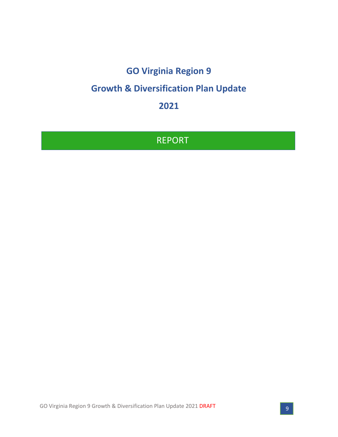# **GO Virginia Region 9**

# **Growth & Diversification Plan Update**

**2021**

# REPORT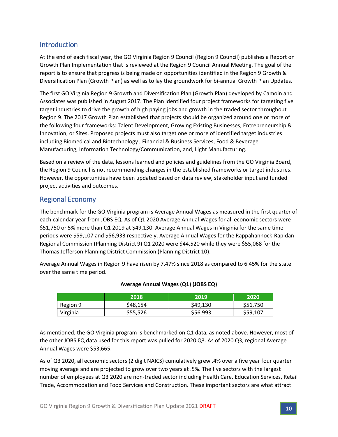# <span id="page-9-0"></span>Introduction

At the end of each fiscal year, the GO Virginia Region 9 Council (Region 9 Council) publishes a Report on Growth Plan Implementation that is reviewed at the Region 9 Council Annual Meeting. The goal of the report is to ensure that progress is being made on opportunities identified in the Region 9 Growth & Diversification Plan (Growth Plan) as well as to lay the groundwork for bi-annual Growth Plan Updates.

The first GO Virginia Region 9 Growth and Diversification Plan (Growth Plan) developed by Camoin and Associates was published in August 2017. The Plan identified four project frameworks for targeting five target industries to drive the growth of high paying jobs and growth in the traded sector throughout Region 9. The 2017 Growth Plan established that projects should be organized around one or more of the following four frameworks: Talent Development, Growing Existing Businesses, Entrepreneurship & Innovation, or Sites. Proposed projects must also target one or more of identified target industries including Biomedical and Biotechnology , Financial & Business Services, Food & Beverage Manufacturing, Information Technology/Communication, and, Light Manufacturing.

Based on a review of the data, lessons learned and policies and guidelines from the GO Virginia Board, the Region 9 Council is not recommending changes in the established frameworks or target industries. However, the opportunities have been updated based on data review, stakeholder input and funded project activities and outcomes.

# <span id="page-9-1"></span>Regional Economy

The benchmark for the GO Virginia program is Average Annual Wages as measured in the first quarter of each calendar year from JOBS EQ. As of Q1 2020 Average Annual Wages for all economic sectors were \$51,750 or 5% more than Q1 2019 at \$49,130. Average Annual Wages in Virginia for the same time periods were \$59,107 and \$56,933 respectively. Average Annual Wages for the Rappahannock-Rapidan Regional Commission (Planning District 9) Q1 2020 were \$44,520 while they were \$55,068 for the Thomas Jefferson Planning District Commission (Planning District 10).

Average Annual Wages in Region 9 have risen by 7.47% since 2018 as compared to 6.45% for the state over the same time period.

|          | 2018     | 2019     | 2020     |
|----------|----------|----------|----------|
| Region 9 | \$48,154 | \$49,130 | \$51,750 |
| Virginia | \$55,526 | \$56,993 | \$59,107 |

#### **Average Annual Wages (Q1) (JOBS EQ)**

As mentioned, the GO Virginia program is benchmarked on Q1 data, as noted above. However, most of the other JOBS EQ data used for this report was pulled for 2020 Q3. As of 2020 Q3, regional Average Annual Wages were \$53,665.

As of Q3 2020, all economic sectors (2 digit NAICS) cumulatively grew .4% over a five year four quarter moving average and are projected to grow over two years at .5%. The five sectors with the largest number of employees at Q3 2020 are non-traded sector including Health Care, Education Services, Retail Trade, Accommodation and Food Services and Construction. These important sectors are what attract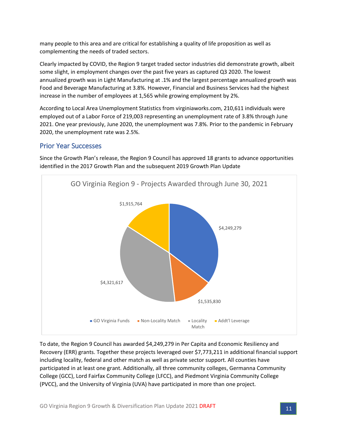many people to this area and are critical for establishing a quality of life proposition as well as complementing the needs of traded sectors.

Clearly impacted by COVID, the Region 9 target traded sector industries did demonstrate growth, albeit some slight, in employment changes over the past five years as captured Q3 2020. The lowest annualized growth was in Light Manufacturing at .1% and the largest percentage annualized growth was Food and Beverage Manufacturing at 3.8%. However, Financial and Business Services had the highest increase in the number of employees at 1,565 while growing employment by 2%.

According to Local Area Unemployment Statistics from virginiaworks.com, 210,611 individuals were employed out of a Labor Force of 219,003 representing an unemployment rate of 3.8% through June 2021. One year previously, June 2020, the unemployment was 7.8%. Prior to the pandemic in February 2020, the unemployment rate was 2.5%.

### <span id="page-10-0"></span>Prior Year Successes

Since the Growth Plan's release, the Region 9 Council has approved 18 grants to advance opportunities identified in the 2017 Growth Plan and the subsequent 2019 Growth Plan Update



To date, the Region 9 Council has awarded \$4,249,279 in Per Capita and Economic Resiliency and Recovery (ERR) grants. Together these projects leveraged over \$7,773,211 in additional financial support including locality, federal and other match as well as private sector support. All counties have participated in at least one grant. Additionally, all three community colleges, Germanna Community College (GCC), Lord Fairfax Community College (LFCC), and Piedmont Virginia Community College (PVCC), and the University of Virginia (UVA) have participated in more than one project.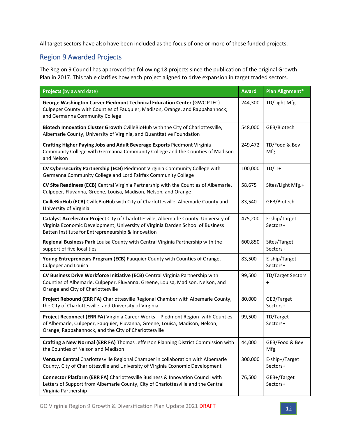All target sectors have also have been included as the focus of one or more of these funded projects.

# <span id="page-11-0"></span>Region 9 Awarded Projects

The Region 9 Council has approved the following 18 projects since the publication of the original Growth Plan in 2017. This table clarifies how each project aligned to drive expansion in target traded sectors.

| <b>Projects (by award date)</b>                                                                                                                                                                                                | <b>Award</b> | Plan Alignment*                       |
|--------------------------------------------------------------------------------------------------------------------------------------------------------------------------------------------------------------------------------|--------------|---------------------------------------|
| George Washington Carver Piedmont Technical Education Center (GWC PTEC)<br>Culpeper County with Counties of Fauquier, Madison, Orange, and Rappahannock;<br>and Germanna Community College                                     | 244,300      | TD/Light Mfg.                         |
| Biotech Innovation Cluster Growth CvilleBioHub with the City of Charlottesville,<br>Albemarle County, University of Virginia, and Quantitative Foundation                                                                      | 548,000      | GEB/Biotech                           |
| Crafting Higher Paying Jobs and Adult Beverage Exports Piedmont Virginia<br>Community College with Germanna Community College and the Counties of Madison<br>and Nelson                                                        | 249,472      | TD/Food & Bev<br>Mfg.                 |
| CV Cybersecurity Partnership (ECB) Piedmont Virginia Community College with<br>Germanna Community College and Lord Fairfax Community College                                                                                   | 100,000      | $TD/IT+$                              |
| CV Site Readiness (ECB) Central Virginia Partnership with the Counties of Albemarle,<br>Culpeper, Fluvanna, Greene, Louisa, Madison, Nelson, and Orange                                                                        | 58,675       | Sites/Light Mfg.+                     |
| CvilleBioHub (ECB) CvilleBioHub with City of Charlottesville, Albemarle County and<br>University of Virginia                                                                                                                   | 83,540       | GEB/Biotech                           |
| Catalyst Accelerator Project City of Charlottesville, Albemarle County, University of<br>Virginia Economic Development, University of Virginia Darden School of Business<br>Batten Institute for Entrepreneurship & Innovation | 475,200      | E-ship/Target<br>Sectors+             |
| Regional Business Park Louisa County with Central Virginia Partnership with the<br>support of five localities                                                                                                                  | 600,850      | Sites/Target<br>Sectors+              |
| Young Entrepreneurs Program (ECB) Fauquier County with Counties of Orange,<br><b>Culpeper and Louisa</b>                                                                                                                       | 83,500       | E-ship/Target<br>Sectors+             |
| CV Business Drive Workforce Initiative (ECB) Central Virginia Partnership with<br>Counties of Albemarle, Culpeper, Fluvanna, Greene, Louisa, Madison, Nelson, and<br>Orange and City of Charlottesville                        | 99,500       | <b>TD/Target Sectors</b><br>$\ddot{}$ |
| Project Rebound (ERR FA) Charlottesville Regional Chamber with Albemarle County,<br>the City of Charlottesville, and University of Virginia                                                                                    | 80,000       | GEB/Target<br>Sectors+                |
| Project Reconnect (ERR FA) Virginia Career Works - Piedmont Region with Counties<br>of Albemarle, Culpeper, Fauquier, Fluvanna, Greene, Louisa, Madison, Nelson,<br>Orange, Rappahannock, and the City of Charlottesville      | 99,500       | TD/Target<br>Sectors+                 |
| Crafting a New Normal (ERR FA) Thomas Jefferson Planning District Commission with<br>the Counties of Nelson and Madison                                                                                                        | 44,000       | GEB/Food & Bev<br>Mfg.                |
| Venture Central Charlottesville Regional Chamber in collaboration with Albemarle<br>County, City of Charlottesville and University of Virginia Economic Development                                                            | 300,000      | E-ship+/Target<br>Sectors+            |
| Connector Platform (ERR FA) Charlottesville Business & Innovation Council with<br>Letters of Support from Albemarle County, City of Charlottesville and the Central<br>Virginia Partnership                                    | 76,500       | GEB+/Target<br>Sectors+               |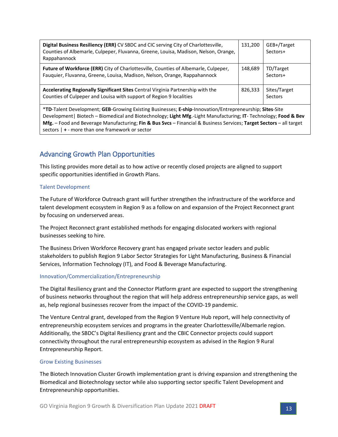| Digital Business Resiliency (ERR) CV SBDC and CIC serving City of Charlottesville,<br>Counties of Albemarle, Culpeper, Fluvanna, Greene, Louisa, Madison, Nelson, Orange,<br>Rappahannock | 131.200 | GEB+/Target<br>Sectors+ |
|-------------------------------------------------------------------------------------------------------------------------------------------------------------------------------------------|---------|-------------------------|
| Future of Workforce (ERR) City of Charlottesville, Counties of Albemarle, Culpeper,<br>Fauquier, Fluvanna, Greene, Louisa, Madison, Nelson, Orange, Rappahannock                          | 148.689 | TD/Target<br>Sectors+   |
| Accelerating Regionally Significant Sites Central Virginia Partnership with the<br>Counties of Culpeper and Louisa with support of Region 9 localities                                    | 826,333 | Sites/Target<br>Sectors |

\***TD**-Talent Development; **GEB**-Growing Existing Businesses; **E-ship**-Innovation/Entrepreneurship; **Sites**-Site Development| Biotech – Biomedical and Biotechnology; **Light Mfg**.-Light Manufacturing; **IT**- Technology; **Food & Bev Mfg.** – Food and Beverage Manufacturing; **Fin & Bus Svcs** – Financial & Business Services; **Target Sectors** – all target sectors | **+** - more than one framework or sector

# <span id="page-12-0"></span>Advancing Growth Plan Opportunities

This listing provides more detail as to how active or recently closed projects are aligned to support specific opportunities identified in Growth Plans.

#### Talent Development

The Future of Workforce Outreach grant will further strengthen the infrastructure of the workforce and talent development ecosystem in Region 9 as a follow on and expansion of the Project Reconnect grant by focusing on underserved areas.

The Project Reconnect grant established methods for engaging dislocated workers with regional businesses seeking to hire.

The Business Driven Workforce Recovery grant has engaged private sector leaders and public stakeholders to publish Region 9 Labor Sector Strategies for Light Manufacturing, Business & Financial Services, Information Technology (IT), and Food & Beverage Manufacturing.

#### Innovation/Commercialization/Entrepreneurship

The Digital Resiliency grant and the Connector Platform grant are expected to support the strengthening of business networks throughout the region that will help address entrepreneurship service gaps, as well as, help regional businesses recover from the impact of the COVID-19 pandemic.

The Venture Central grant, developed from the Region 9 Venture Hub report, will help connectivity of entrepreneurship ecosystem services and programs in the greater Charlottesville/Albemarle region. Additionally, the SBDC's Digital Resiliency grant and the CBIC Connector projects could support connectivity throughout the rural entrepreneurship ecosystem as advised in the Region 9 Rural Entrepreneurship Report.

#### Grow Existing Businesses

The Biotech Innovation Cluster Growth implementation grant is driving expansion and strengthening the Biomedical and Biotechnology sector while also supporting sector specific Talent Development and Entrepreneurship opportunities.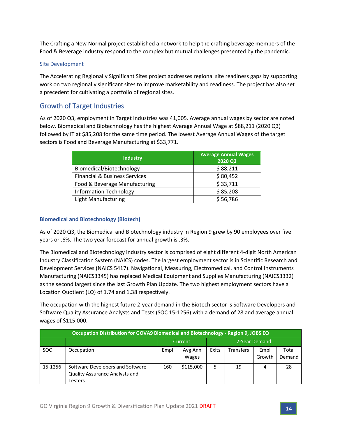The Crafting a New Normal project established a network to help the crafting beverage members of the Food & Beverage industry respond to the complex but mutual challenges presented by the pandemic.

#### Site Development

The Accelerating Regionally Significant Sites project addresses regional site readiness gaps by supporting work on two regionally significant sites to improve marketability and readiness. The project has also set a precedent for cultivating a portfolio of regional sites.

# <span id="page-13-0"></span>Growth of Target Industries

As of 2020 Q3, employment in Target Industries was 41,005. Average annual wages by sector are noted below. Biomedical and Biotechnology has the highest Average Annual Wage at \$88,211 (2020 Q3) followed by IT at \$85,208 for the same time period. The lowest Average Annual Wages of the target sectors is Food and Beverage Manufacturing at \$33,771.

| <b>Industry</b>                          | <b>Average Annual Wages</b><br>2020 Q3 |
|------------------------------------------|----------------------------------------|
| Biomedical/Biotechnology                 | \$88,211                               |
| <b>Financial &amp; Business Services</b> | \$80,452                               |
| Food & Beverage Manufacturing            | \$33,711                               |
| <b>Information Technology</b>            | \$85,208                               |
| <b>Light Manufacturing</b>               | \$56,786                               |

#### **Biomedical and Biotechnology (Biotech)**

As of 2020 Q3, the Biomedical and Biotechnology industry in Region 9 grew by 90 employees over five years or .6%. The two year forecast for annual growth is .3%.

The Biomedical and Biotechnology industry sector is comprised of eight different 4-digit North American Industry Classification System (NAICS) codes. The largest employment sector is in Scientific Research and Development Services (NAICS 5417). Navigational, Measuring, Electromedical, and Control Instruments Manufacturing (NAICS3345) has replaced Medical Equipment and Supplies Manufacturing (NAICS3332) as the second largest since the last Growth Plan Update. The two highest employment sectors have a Location Quotient (LQ) of 1.74 and 1.38 respectively.

The occupation with the highest future 2-year demand in the Biotech sector is Software Developers and Software Quality Assurance Analysts and Tests (SOC 15-1256) with a demand of 28 and average annual wages of \$115,000.

| Occupation Distribution for GOVA9 Biomedical and Biotechnology - Region 9, JOBS EQ |                                                                               |                          |                  |       |                  |                |                 |  |  |
|------------------------------------------------------------------------------------|-------------------------------------------------------------------------------|--------------------------|------------------|-------|------------------|----------------|-----------------|--|--|
|                                                                                    |                                                                               | 2-Year Demand<br>Current |                  |       |                  |                |                 |  |  |
| <b>SOC</b>                                                                         | Occupation                                                                    | Empl                     | Avg Ann<br>Wages | Exits | <b>Transfers</b> | Empl<br>Growth | Total<br>Demand |  |  |
| 15-1256                                                                            | Software Developers and Software<br>Quality Assurance Analysts and<br>Testers | 160                      | \$115,000        |       | 19               | 4              | 28              |  |  |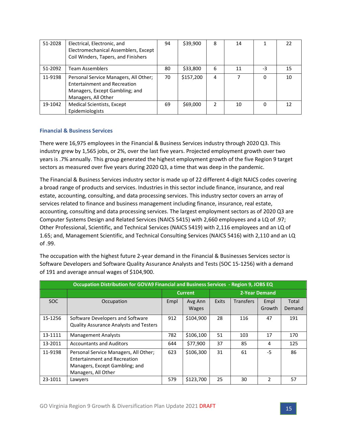| 51-2028 | Electrical, Electronic, and<br>Electromechanical Assemblers, Except<br>Coil Winders, Tapers, and Finishers                     | 94 | \$39,900  | 8 | 14 |    | 22 |
|---------|--------------------------------------------------------------------------------------------------------------------------------|----|-----------|---|----|----|----|
| 51-2092 | Team Assemblers                                                                                                                | 80 | \$33,800  | 6 | 11 | -3 | 15 |
| 11-9198 | Personal Service Managers, All Other;<br>Entertainment and Recreation<br>Managers, Except Gambling; and<br>Managers, All Other | 70 | \$157,200 | 4 |    | 0  | 10 |
| 19-1042 | <b>Medical Scientists, Except</b><br>Epidemiologists                                                                           | 69 | \$69,000  | 2 | 10 | 0  | 12 |

#### **Financial & Business Services**

There were 16,975 employees in the Financial & Business Services industry through 2020 Q3. This industry grew by 1,565 jobs, or 2%, over the last five years. Projected employment growth over two years is .7% annually. This group generated the highest employment growth of the five Region 9 target sectors as measured over five years during 2020 Q3, a time that was deep in the pandemic.

The Financial & Business Services industry sector is made up of 22 different 4-digit NAICS codes covering a broad range of products and services. Industries in this sector include finance, insurance, and real estate, accounting, consulting, and data processing services. This industry sector covers an array of services related to finance and business management including finance, insurance, real estate, accounting, consulting and data processing services. The largest employment sectors as of 2020 Q3 are Computer Systems Design and Related Services (NAICS 5415) with 2,660 employees and a LQ of .97; Other Professional, Scientific, and Technical Services (NAICS 5419) with 2,116 employees and an LQ of 1.65; and, Management Scientific, and Technical Consulting Services (NAICS 5416) with 2,110 and an LQ of .99.

|         | Occupation Distribution for GOVA9 Financial and Business Services - Region 9, JOBS EQ                                                 |      |                         |       |                  |                |                 |  |  |  |
|---------|---------------------------------------------------------------------------------------------------------------------------------------|------|-------------------------|-------|------------------|----------------|-----------------|--|--|--|
|         |                                                                                                                                       |      | <b>Current</b>          |       |                  | 2-Year Demand  |                 |  |  |  |
| SOC.    | Occupation                                                                                                                            | Empl | Avg Ann<br><b>Wages</b> | Exits | <b>Transfers</b> | Empl<br>Growth | Total<br>Demand |  |  |  |
| 15-1256 | Software Developers and Software<br><b>Quality Assurance Analysts and Testers</b>                                                     | 912  | \$104,900               | 28    | 116              | 47             | 191             |  |  |  |
| 13-1111 | <b>Management Analysts</b>                                                                                                            | 782  | \$106,100               | 51    | 103              | 17             | 170             |  |  |  |
| 13-2011 | <b>Accountants and Auditors</b>                                                                                                       | 644  | \$77,900                | 37    | 85               | 4              | 125             |  |  |  |
| 11-9198 | Personal Service Managers, All Other;<br><b>Entertainment and Recreation</b><br>Managers, Except Gambling; and<br>Managers, All Other | 623  | \$106,300               | 31    | 61               | -5             | 86              |  |  |  |
| 23-1011 | Lawyers                                                                                                                               | 579  | \$123,700               | 25    | 30               | $\mathfrak z$  | 57              |  |  |  |

The occupation with the highest future 2-year demand in the Financial & Businesses Services sector is Software Developers and Software Quality Assurance Analysts and Tests (SOC 15-1256) with a demand of 191 and average annual wages of \$104,900.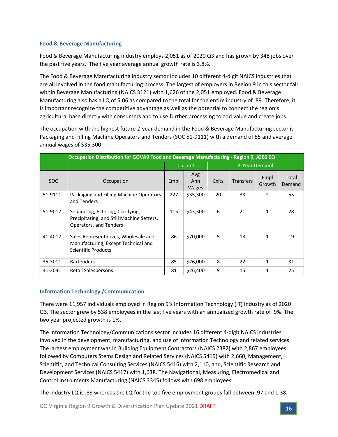#### **Food & Beverage Manufacturing**

Food & Beverage Manufacturing industry employs 2,051 as of 2020 Q3 and has grown by 348 jobs over the past five years. The five year average annual growth rate is 3.8%.

The Food & Beverage Manufacturing industry sector includes 10 different 4-digit NAICS industries that are all involved in the food manufacturing process. The largest of employers in Region 9 in this sector fall within Beverage Manufacturing (NAICS 3121) with 1,626 of the 2,051 employed. Food & Beverage Manufacturing also has a LQ of 5.06 as compared to the total for the entire industry of .89. Therefore, it is important recognize the competitive advantage as well as the potential to connect the region's agricultural base directly with consumers and to use further processing to add value and create jobs.

The occupation with the highest future 2-year demand in the Food & Beverage Manufacturing sector is Packaging and Filling Machine Operators and Tenders (SOC 51-9111) with a demand of 55 and average annual wages of \$35,300.

| Occupation Distribution for GOVA9 Food and Beverage Manufacturing - Region 9, JOBS EQ |                                                                                                           |                          |                            |              |                  |                |                 |  |  |
|---------------------------------------------------------------------------------------|-----------------------------------------------------------------------------------------------------------|--------------------------|----------------------------|--------------|------------------|----------------|-----------------|--|--|
|                                                                                       |                                                                                                           | Current<br>2-Year Demand |                            |              |                  |                |                 |  |  |
| SOC.                                                                                  | Occupation                                                                                                | Empl                     | Avg<br>Ann<br><b>Wages</b> | <b>Exits</b> | <b>Transfers</b> | Empl<br>Growth | Total<br>Demand |  |  |
| 51-9111                                                                               | Packaging and Filling Machine Operators<br>and Tenders                                                    | 227                      | \$35,300                   | 20           | 33               | $\mathcal{P}$  | 55              |  |  |
| 51-9012                                                                               | Separating, Filtering, Clarifying,<br>Precipitating, and Still Machine Setters,<br>Operators, and Tenders | 115                      | \$43,300                   | 6            | 21               | 1              | 28              |  |  |
| 41-4012                                                                               | Sales Representatives, Wholesale and<br>Manufacturing, Except Technical and<br><b>Scientific Products</b> | 86                       | \$70,000                   | 5            | 13               | 1              | 19              |  |  |
| 35-3011                                                                               | <b>Bartenders</b>                                                                                         | 85                       | \$26,000                   | 8            | 22               | 1              | 31              |  |  |
| 41-2031                                                                               | Retail Salespersons                                                                                       | 81                       | \$26,400                   | 9            | 15               |                | 25              |  |  |

#### **Information Technology /Communication**

There were 11,957 individuals employed in Region 9's Information Technology (IT) Industry as of 2020 Q3. The sector grew by 538 employees in the last five years with an annualized growth rate of .9%. The two year projected growth is 1%.

The Information Technology/Communications sector includes 16 different 4-digit NAICS industries involved in the development, manufacturing, and use of Information Technology and related services. The largest employment was in Building Equipment Contractors (NAICS 2382) with 2,867 employees followed by Computers Stems Design and Related Services (NAICS 5415) with 2,660, Management, Scientific, and Technical Consulting Services (NAICS 5416) with 2,110, and, Scientific Research and Development Services (NAICS 5417) with 1,638. The Navigational, Measuring, Electromedical and Control Instruments Manufacturing (NAICS 3345) follows with 698 employees.

The industry LQ is .89 whereas the LQ for the top five employment groups fall between .97 and 1.38.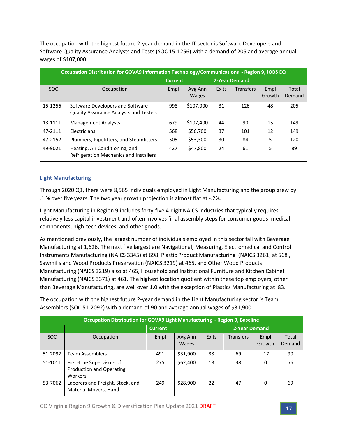The occupation with the highest future 2-year demand in the IT sector is Software Developers and Software Quality Assurance Analysts and Tests (SOC 15-1256) with a demand of 205 and average annual wages of \$107,000.

|         | Occupation Distribution for GOVA9 Information Technology/Communications - Region 9, JOBS EQ |                |                         |              |                  |                |                 |  |  |
|---------|---------------------------------------------------------------------------------------------|----------------|-------------------------|--------------|------------------|----------------|-----------------|--|--|
|         |                                                                                             | <b>Current</b> |                         |              | 2-Year Demand    |                |                 |  |  |
| SOC.    | Occupation                                                                                  | Empl           | Avg Ann<br><b>Wages</b> | <b>Exits</b> | <b>Transfers</b> | Empl<br>Growth | Total<br>Demand |  |  |
| 15-1256 | Software Developers and Software<br>Quality Assurance Analysts and Testers                  | 998            | \$107,000               | 31           | 126              | 48             | 205             |  |  |
| 13-1111 | <b>Management Analysts</b>                                                                  | 679            | \$107,400               | 44           | 90               | 15             | 149             |  |  |
| 47-2111 | Electricians                                                                                | 568            | \$56,700                | 37           | 101              | 12             | 149             |  |  |
| 47-2152 | Plumbers, Pipefitters, and Steamfitters                                                     | 505            | \$53,300                | 30           | 84               | 5              | 120             |  |  |
| 49-9021 | Heating, Air Conditioning, and<br>Refrigeration Mechanics and Installers                    | 427            | \$47,800                | 24           | 61               | 5              | 89              |  |  |

#### **Light Manufacturing**

Through 2020 Q3, there were 8,565 individuals employed in Light Manufacturing and the group grew by .1 % over five years. The two year growth projection is almost flat at -.2%.

Light Manufacturing in Region 9 includes forty-five 4-digit NAICS industries that typically requires relatively less capital investment and often involves final assembly steps for consumer goods, medical components, high-tech devices, and other goods.

As mentioned previously, the largest number of individuals employed in this sector fall with Beverage Manufacturing at 1,626. The next five largest are Navigational, Measuring, Electromedical and Control Instruments Manufacturing (NAICS 3345) at 698, Plastic Product Manufacturing (NAICS 3261) at 568 , Sawmills and Wood Products Preservation (NAICS 3219) at 465, and Other Wood Products Manufacturing (NAICS 3219) also at 465, Household and Institutional Furniture and Kitchen Cabinet Manufacturing (NAICS 3371) at 461. The highest location quotient within these top employers, other than Beverage Manufacturing, are well over 1.0 with the exception of Plastics Manufacturing at .83.

The occupation with the highest future 2-year demand in the Light Manufacturing sector is Team Assemblers (SOC 51-2092) with a demand of 90 and average annual wages of \$31,900.

|         | Occupation Distribution for GOVA9 Light Manufacturing - Region 9, Baseline |                |                         |       |                  |                |                 |  |  |  |  |
|---------|----------------------------------------------------------------------------|----------------|-------------------------|-------|------------------|----------------|-----------------|--|--|--|--|
|         |                                                                            | <b>Current</b> |                         |       | 2-Year Demand    |                |                 |  |  |  |  |
| SOC.    | Occupation                                                                 | Empl           | Avg Ann<br><b>Wages</b> | Exits | <b>Transfers</b> | Empl<br>Growth | Total<br>Demand |  |  |  |  |
| 51-2092 | <b>Team Assemblers</b>                                                     | 491            | \$31,900                | 38    | 69               | $-17$          | 90              |  |  |  |  |
| 51-1011 | First-Line Supervisors of<br>Production and Operating<br>Workers           | 275            | \$62,400                | 18    | 38               | $\Omega$       | 56              |  |  |  |  |
| 53-7062 | Laborers and Freight, Stock, and<br>Material Movers, Hand                  | 249            | \$28,900                | 22    | 47               | 0              | 69              |  |  |  |  |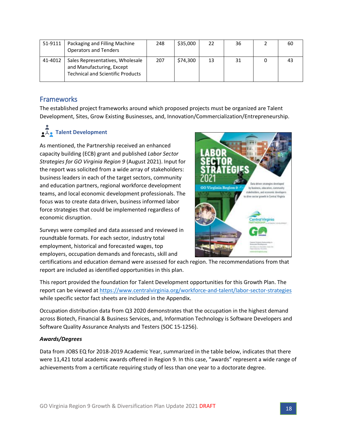| 51-9111 | Packaging and Filling Machine<br><b>Operators and Tenders</b>                                             | 248 | \$35,000 | 22 | 36 | 60 |
|---------|-----------------------------------------------------------------------------------------------------------|-----|----------|----|----|----|
| 41-4012 | Sales Representatives, Wholesale<br>and Manufacturing, Except<br><b>Technical and Scientific Products</b> | 207 | \$74.300 | 13 | 31 |    |

# <span id="page-17-0"></span>**Frameworks**

The established project frameworks around which proposed projects must be organized are Talent Development, Sites, Grow Existing Businesses, and, Innovation/Commercialization/Entrepreneurship.

# **•**  $\overline{L}$  **• Talent Development**

As mentioned, the Partnership received an enhanced capacity building (ECB) grant and published *Labor Sector Strategies for GO Virginia Region 9* (August 2021). Input for the report was solicited from a wide array of stakeholders: business leaders in each of the target sectors, community and education partners, regional workforce development teams, and local economic development professionals. The focus was to create data driven, business informed labor force strategies that could be implemented regardless of economic disruption.

Surveys were compiled and data assessed and reviewed in roundtable formats. For each sector, industry total employment, historical and forecasted wages, top employers, occupation demands and forecasts, skill and

certifications and education demand were assessed for each region. The recommendations from that report are included as identified opportunities in this plan.

This report provided the foundation for Talent Development opportunities for this Growth Plan. The report can be viewed at<https://www.centralvirginia.org/workforce-and-talent/labor-sector-strategies> while specific sector fact sheets are included in the Appendix.

Occupation distribution data from Q3 2020 demonstrates that the occupation in the highest demand across Biotech, Financial & Business Services, and, Information Technology is Software Developers and Software Quality Assurance Analysts and Testers (SOC 15-1256).

#### *Awards/Degrees*

Data from JOBS EQ for 2018-2019 Academic Year, summarized in the table below, indicates that there were 11,421 total academic awards offered in Region 9. In this case, "awards" represent a wide range of achievements from a certificate requiring study of less than one year to a doctorate degree.

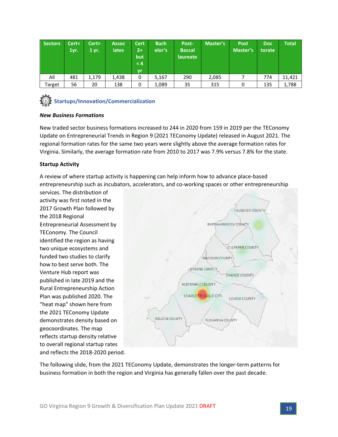| <b>Sectors</b> | Cert<<br>1yr. | Cert><br>1 yr. | <b>Assoc</b><br><b>iates</b> | <b>Cert</b><br>$2+$<br>but<br>< 4<br>vr | <b>Bach</b><br>elor's | Post-<br><b>Baccal</b><br>laureate | Master's | <b>Post</b><br>Master's | <b>Doc</b><br>torate | Total  |
|----------------|---------------|----------------|------------------------------|-----------------------------------------|-----------------------|------------------------------------|----------|-------------------------|----------------------|--------|
| All            | 481           | 1,179          | 1,438                        | 0                                       | 5,167                 | 290                                | 2,085    |                         | 774                  | 11,421 |
| Target         | 56            | 20             | 138                          | 0                                       | 1,089                 | 35                                 | 315      | 0                       | 135                  | 1,788  |



#### *New Business Formations*

New traded sector business formations increased to 244 in 2020 from 159 in 2019 per the TEConomy Update on Entrepreneurial Trends in Region 9 (2021 TEConomy Update) released in August 2021. The regional formation rates for the same two years were slightly above the average formation rates for Virginia. Similarly, the average formation rate from 2010 to 2017 was 7.9% versus 7.8% for the state.

#### **Startup Activity**

A review of where startup activity is happening can help inform how to advance place-based entrepreneurship such as incubators, accelerators, and co-working spaces or other entrepreneurship

services. The distribution of activity was first noted in the 2017 Growth Plan followed by the 2018 Regional Entrepreneurial Assessment by TEConomy. The Council identified the region as having two unique ecosystems and funded two studies to clarify how to best serve both. The Venture Hub report was published in late 2019 and the Rural Entrepreneurship Action Plan was published 2020. The "heat map" shown here from the 2021 TEConomy Update demonstrates density based on geocoordinates. The map reflects startup density relative to overall regional startup rates and reflects the 2018-2020 period.



The following slide, from the 2021 TEConomy Update, demonstrates the longer-term patterns for business formation in both the region and Virginia has generally fallen over the past decade.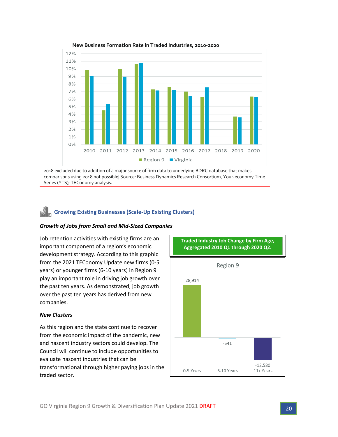

**New Business Formation Rate in Traded Industries, 2010-2020**

2018 excluded due to addition of a major source of firm data to underlying BDRC database that makes comparisons using 2018 not possible| Source: Business Dynamics Research Consortium, Your-economy Time Series (YTS); TEConomy analysis.

### **Growing Existing Businesses (Scale-Up Existing Clusters)**

#### *Growth of Jobs from Small and Mid-Sized Companies*

Job retention activities with existing firms are an important component of a region's economic development strategy. According to this graphic from the 2021 TEConomy Update new firms (0-5 years) or younger firms (6-10 years) in Region 9 play an important role in driving job growth over the past ten years. As demonstrated, job growth over the past ten years has derived from new companies.

#### *New Clusters*

As this region and the state continue to recover from the economic impact of the pandemic, new and nascent industry sectors could develop. The Council will continue to include opportunities to evaluate nascent industries that can be transformational through higher paying jobs in the traded sector.

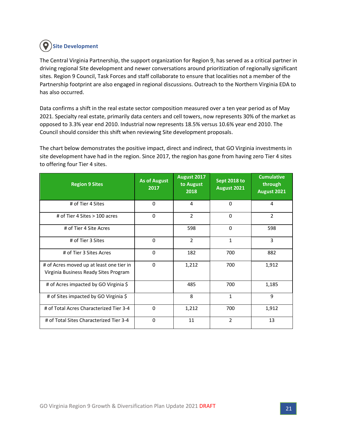# **Site Development**

The Central Virginia Partnership, the support organization for Region 9, has served as a critical partner in driving regional Site development and newer conversations around prioritization of regionally significant sites. Region 9 Council, Task Forces and staff collaborate to ensure that localities not a member of the Partnership footprint are also engaged in regional discussions. Outreach to the Northern Virginia EDA to has also occurred.

Data confirms a shift in the real estate sector composition measured over a ten year period as of May 2021. Specialty real estate, primarily data centers and cell towers, now represents 30% of the market as opposed to 3.3% year end 2010. Industrial now represents 18.5% versus 10.6% year end 2010. The Council should consider this shift when reviewing Site development proposals.

The chart below demonstrates the positive impact, direct and indirect, that GO Virginia investments in site development have had in the region. Since 2017, the region has gone from having zero Tier 4 sites to offering four Tier 4 sites.

| <b>Region 9 Sites</b>                                                             | <b>As of August</b><br>2017 | August 2017<br>to August<br>2018 | <b>Sept 2018 to</b><br>August 2021 | <b>Cumulative</b><br>through<br>August 2021 |
|-----------------------------------------------------------------------------------|-----------------------------|----------------------------------|------------------------------------|---------------------------------------------|
| # of Tier 4 Sites                                                                 | $\Omega$                    | 4                                | $\Omega$                           | 4                                           |
| # of Tier 4 Sites $> 100$ acres                                                   | $\mathbf 0$                 | $\overline{2}$                   | $\Omega$                           | $\overline{2}$                              |
| # of Tier 4 Site Acres                                                            |                             | 598                              | $\Omega$                           | 598                                         |
| # of Tier 3 Sites                                                                 | $\Omega$                    | $\overline{2}$                   | $\mathbf{1}$                       | 3                                           |
| # of Tier 3 Sites Acres                                                           | $\Omega$                    | 182                              | 700                                | 882                                         |
| # of Acres moved up at least one tier in<br>Virginia Business Ready Sites Program | $\mathbf 0$                 | 1,212                            | 700                                | 1,912                                       |
| # of Acres impacted by GO Virginia \$                                             |                             | 485                              | 700                                | 1,185                                       |
| # of Sites impacted by GO Virginia \$                                             |                             | 8                                | $\mathbf{1}$                       | 9                                           |
| # of Total Acres Characterized Tier 3-4                                           | 0                           | 1,212                            | 700                                | 1,912                                       |
| # of Total Sites Characterized Tier 3-4                                           | $\Omega$                    | 11                               | $\overline{2}$                     | 13                                          |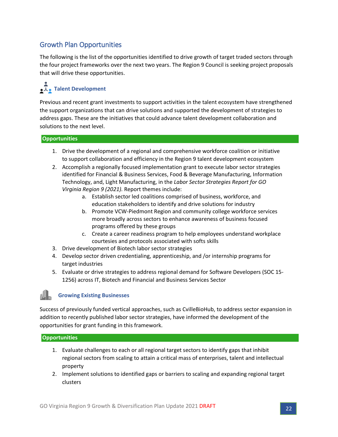# <span id="page-21-0"></span>Growth Plan Opportunities

The following is the list of the opportunities identified to drive growth of target traded sectors through the four project frameworks over the next two years. The Region 9 Council is seeking project proposals that will drive these opportunities.

# **A**. Talent Development

Previous and recent grant investments to support activities in the talent ecosystem have strengthened the support organizations that can drive solutions and supported the development of strategies to address gaps. These are the initiatives that could advance talent development collaboration and solutions to the next level.

#### **Opportunities**

- 1. Drive the development of a regional and comprehensive workforce coalition or initiative to support collaboration and efficiency in the Region 9 talent development ecosystem
- 2. Accomplish a regionally focused implementation grant to execute labor sector strategies identified for Financial & Business Services, Food & Beverage Manufacturing, Information Technology, and, Light Manufacturing, in the *Labor Sector Strategies Report for GO Virginia Region 9 (2021).* Report themes include:
	- a. Establish sector led coalitions comprised of business, workforce, and education stakeholders to identify and drive solutions for industry
	- b. Promote VCW-Piedmont Region and community college workforce services more broadly across sectors to enhance awareness of business focused programs offered by these groups
	- c. Create a career readiness program to help employees understand workplace courtesies and protocols associated with softs skills
- 3. Drive development of Biotech labor sector strategies
- 4. Develop sector driven credentialing, apprenticeship, and /or internship programs for target industries
- 5. Evaluate or drive strategies to address regional demand for Software Developers (SOC 15- 1256) across IT, Biotech and Financial and Business Services Sector

#### **Growing Existing Businesses**

Success of previously funded vertical approaches, such as CvilleBioHub, to address sector expansion in addition to recently published labor sector strategies, have informed the development of the opportunities for grant funding in this framework.

#### **Opportunities**

- 1. Evaluate challenges to each or all regional target sectors to identify gaps that inhibit regional sectors from scaling to attain a critical mass of enterprises, talent and intellectual property
- 2. Implement solutions to identified gaps or barriers to scaling and expanding regional target clusters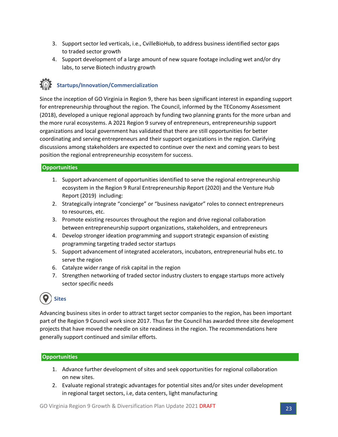- 3. Support sector led verticals, i.e., CvilleBioHub, to address business identified sector gaps to traded sector growth
- 4. Support development of a large amount of new square footage including wet and/or dry labs, to serve Biotech industry growth

# **Startups/Innovation/Commercialization**

Since the inception of GO Virginia in Region 9, there has been significant interest in expanding support for entrepreneurship throughout the region. The Council, informed by the TEConomy Assessment (2018), developed a unique regional approach by funding two planning grants for the more urban and the more rural ecosystems. A 2021 Region 9 survey of entrepreneurs, entrepreneurship support organizations and local government has validated that there are still opportunities for better coordinating and serving entrepreneurs and their support organizations in the region. Clarifying discussions among stakeholders are expected to continue over the next and coming years to best position the regional entrepreneurship ecosystem for success.

#### **Opportunities**

- 1. Support advancement of opportunities identified to serve the regional entrepreneurship ecosystem in the Region 9 Rural Entrepreneurship Report (2020) and the Venture Hub Report (2019) including:
- 2. Strategically integrate "concierge" or "business navigator" roles to connect entrepreneurs to resources, etc.
- 3. Promote existing resources throughout the region and drive regional collaboration between entrepreneurship support organizations, stakeholders, and entrepreneurs
- 4. Develop stronger ideation programming and support strategic expansion of existing programming targeting traded sector startups
- 5. Support advancement of integrated accelerators, incubators, entrepreneurial hubs etc. to serve the region
- 6. Catalyze wider range of risk capital in the region
- 7. Strengthen networking of traded sector industry clusters to engage startups more actively sector specific needs

# **Sites**

Advancing business sites in order to attract target sector companies to the region, has been important part of the Region 9 Council work since 2017. Thus far the Council has awarded three site development projects that have moved the needle on site readiness in the region. The recommendations here generally support continued and similar efforts.

#### **Opportunities**

- 1. Advance further development of sites and seek opportunities for regional collaboration on new sites.
- 2. Evaluate regional strategic advantages for potential sites and/or sites under development in regional target sectors, i.e, data centers, light manufacturing

GO Virginia Region 9 Growth & Diversification Plan Update 2021 DRAFT 23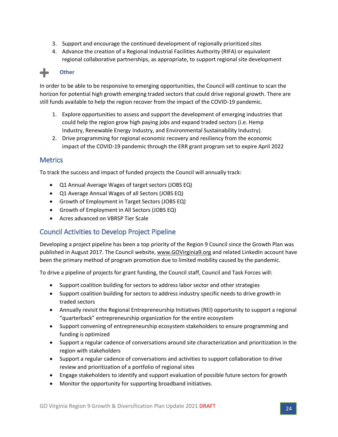- 3. Support and encourage the continued development of regionally prioritized sites
- 4. Advance the creation of a Regional Industrial Facilities Authority (RIFA) or equivalent regional collaborative partnerships, as appropriate, to support regional site development

# **Other**

In order to be able to be responsive to emerging opportunities, the Council will continue to scan the horizon for potential high growth emerging traded sectors that could drive regional growth. There are still funds available to help the region recover from the impact of the COVID-19 pandemic.

- 1. Explore opportunities to assess and support the development of emerging industries that could help the region grow high paying jobs and expand traded sectors (i.e. Hemp Industry, Renewable Energy Industry, and Environmental Sustainability Industry).
- 2. Drive programming for regional economic recovery and resiliency from the economic impact of the COVID-19 pandemic through the ERR grant program set to expire April 2022

### <span id="page-23-0"></span>**Metrics**

To track the success and impact of funded projects the Council will annually track:

- Q1 Annual Average Wages of target sectors (JOBS EQ)
- Q1 Average Annual Wages of all Sectors (JOBS EQ)
- Growth of Employment in Target Sectors (JOBS EQ)
- Growth of Employment in All Sectors (JOBS EQ)
- Acres advanced on VBRSP Tier Scale

# <span id="page-23-1"></span>Council Activities to Develop Project Pipeline

Developing a project pipeline has been a top priority of the Region 9 Council since the Growth Plan was published in August 2017. The Council website, [www.GOVirginia9.org](http://www.govirginia9.org/) and related LinkedIn account have been the primary method of program promotion due to limited mobility caused by the pandemic.

To drive a pipeline of projects for grant funding, the Council staff, Council and Task Forces will:

- Support coalition building for sectors to address labor sector and other strategies
- Support coalition building for sectors to address industry specific needs to drive growth in traded sectors
- Annually revisit the Regional Entrepreneurship Initiatives (REI) opportunity to support a regional "quarterback" entrepreneurship organization for the entire ecosystem
- Support convening of entrepreneurship ecosystem stakeholders to ensure programming and funding is optimized
- Support a regular cadence of conversations around site characterization and prioritization in the region with stakeholders
- Support a regular cadence of conversations and activities to support collaboration to drive review and prioritization of a portfolio of regional sites
- Engage stakeholders to identify and support evaluation of possible future sectors for growth
- Monitor the opportunity for supporting broadband initiatives.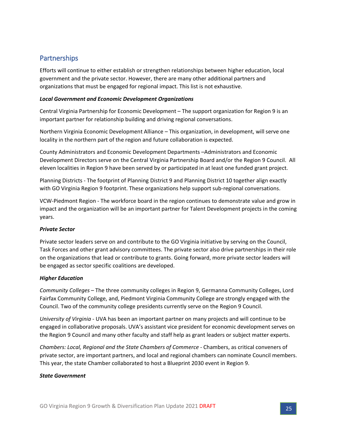# <span id="page-24-0"></span>**Partnerships**

Efforts will continue to either establish or strengthen relationships between higher education, local government and the private sector. However, there are many other additional partners and organizations that must be engaged for regional impact. This list is not exhaustive.

#### *Local Government and Economic Development Organizations*

Central Virginia Partnership for Economic Development – The support organization for Region 9 is an important partner for relationship building and driving regional conversations.

Northern Virginia Economic Development Alliance – This organization, in development, will serve one locality in the northern part of the region and future collaboration is expected.

County Administrators and Economic Development Departments –Administrators and Economic Development Directors serve on the Central Virginia Partnership Board and/or the Region 9 Council. All eleven localities in Region 9 have been served by or participated in at least one funded grant project.

Planning Districts - The footprint of Planning District 9 and Planning District 10 together align exactly with GO Virginia Region 9 footprint. These organizations help support sub-regional conversations.

VCW-Piedmont Region - The workforce board in the region continues to demonstrate value and grow in impact and the organization will be an important partner for Talent Development projects in the coming years.

#### *Private Sector*

Private sector leaders serve on and contribute to the GO Virginia initiative by serving on the Council, Task Forces and other grant advisory committees. The private sector also drive partnerships in their role on the organizations that lead or contribute to grants. Going forward, more private sector leaders will be engaged as sector specific coalitions are developed.

#### *Higher Education*

*Community Colleges* – The three community colleges in Region 9, Germanna Community Colleges, Lord Fairfax Community College, and, Piedmont Virginia Community College are strongly engaged with the Council. Two of the community college presidents currently serve on the Region 9 Council.

*University of Virginia -* UVA has been an important partner on many projects and will continue to be engaged in collaborative proposals. UVA's assistant vice president for economic development serves on the Region 9 Council and many other faculty and staff help as grant leaders or subject matter experts.

*Chambers: Local, Regional and the State Chambers of Commerce -* Chambers, as critical conveners of private sector, are important partners, and local and regional chambers can nominate Council members. This year, the state Chamber collaborated to host a Blueprint 2030 event in Region 9.

#### *State Government*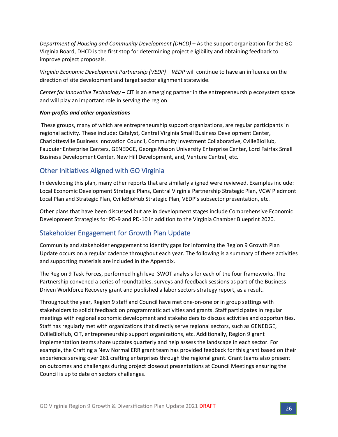*Department of Housing and Community Development (DHCD)* – As the support organization for the GO Virginia Board, DHCD is the first stop for determining project eligibility and obtaining feedback to improve project proposals.

*Virginia Economic Development Partnership (VEDP) – VEDP* will continue to have an influence on the direction of site development and target sector alignment statewide.

*Center for Innovative Technology* – CIT is an emerging partner in the entrepreneurship ecosystem space and will play an important role in serving the region.

#### *Non-profits and other organizations*

These groups, many of which are entrepreneurship support organizations, are regular participants in regional activity. These include: Catalyst, Central Virginia Small Business Development Center, Charlottesville Business Innovation Council, Community Investment Collaborative, CvilleBioHub, Fauquier Enterprise Centers, GENEDGE, George Mason University Enterprise Center, Lord Fairfax Small Business Development Center, New Hill Development, and, Venture Central, etc.

# <span id="page-25-0"></span>Other Initiatives Aligned with GO Virginia

In developing this plan, many other reports that are similarly aligned were reviewed. Examples include: Local Economic Development Strategic Plans, Central Virginia Partnership Strategic Plan, VCW Piedmont Local Plan and Strategic Plan, CvilleBioHub Strategic Plan, VEDP's subsector presentation, etc.

Other plans that have been discussed but are in development stages include Comprehensive Economic Development Strategies for PD-9 and PD-10 in addition to the Virginia Chamber Blueprint 2020.

# <span id="page-25-1"></span>Stakeholder Engagement for Growth Plan Update

Community and stakeholder engagement to identify gaps for informing the Region 9 Growth Plan Update occurs on a regular cadence throughout each year. The following is a summary of these activities and supporting materials are included in the Appendix.

The Region 9 Task Forces, performed high level SWOT analysis for each of the four frameworks. The Partnership convened a series of roundtables, surveys and feedback sessions as part of the Business Driven Workforce Recovery grant and published a labor sectors strategy report, as a result.

Throughout the year, Region 9 staff and Council have met one-on-one or in group settings with stakeholders to solicit feedback on programmatic activities and grants. Staff participates in regular meetings with regional economic development and stakeholders to discuss activities and opportunities. Staff has regularly met with organizations that directly serve regional sectors, such as GENEDGE, CvilleBioHub, CIT, entrepreneurship support organizations, etc. Additionally, Region 9 grant implementation teams share updates quarterly and help assess the landscape in each sector. For example, the Crafting a New Normal ERR grant team has provided feedback for this grant based on their experience serving over 261 crafting enterprises through the regional grant. Grant teams also present on outcomes and challenges during project closeout presentations at Council Meetings ensuring the Council is up to date on sectors challenges.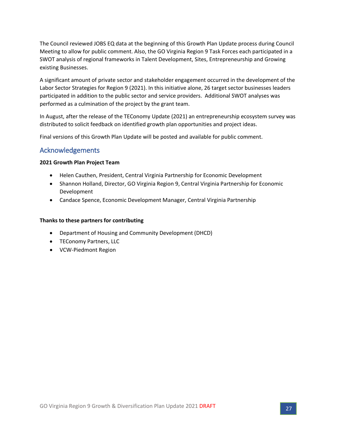The Council reviewed JOBS EQ data at the beginning of this Growth Plan Update process during Council Meeting to allow for public comment. Also, the GO Virginia Region 9 Task Forces each participated in a SWOT analysis of regional frameworks in Talent Development, Sites, Entrepreneurship and Growing existing Businesses.

A significant amount of private sector and stakeholder engagement occurred in the development of the Labor Sector Strategies for Region 9 (2021). In this initiative alone, 26 target sector businesses leaders participated in addition to the public sector and service providers. Additional SWOT analyses was performed as a culmination of the project by the grant team.

In August, after the release of the TEConomy Update (2021) an entrepreneurship ecosystem survey was distributed to solicit feedback on identified growth plan opportunities and project ideas.

Final versions of this Growth Plan Update will be posted and available for public comment.

### <span id="page-26-0"></span>Acknowledgements

#### **2021 Growth Plan Project Team**

- Helen Cauthen, President, Central Virginia Partnership for Economic Development
- Shannon Holland, Director, GO Virginia Region 9, Central Virginia Partnership for Economic Development
- Candace Spence, Economic Development Manager, Central Virginia Partnership

#### **Thanks to these partners for contributing**

- Department of Housing and Community Development (DHCD)
- TEConomy Partners, LLC
- VCW-Piedmont Region